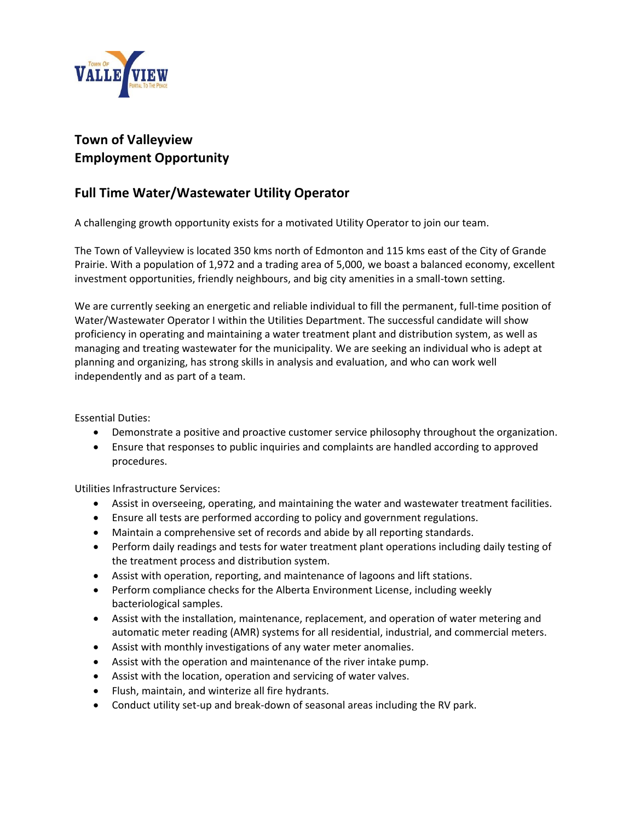

## **Town of Valleyview Employment Opportunity**

## **Full Time Water/Wastewater Utility Operator**

A challenging growth opportunity exists for a motivated Utility Operator to join our team.

The Town of Valleyview is located 350 kms north of Edmonton and 115 kms east of the City of Grande Prairie. With a population of 1,972 and a trading area of 5,000, we boast a balanced economy, excellent investment opportunities, friendly neighbours, and big city amenities in a small-town setting.

We are currently seeking an energetic and reliable individual to fill the permanent, full-time position of Water/Wastewater Operator I within the Utilities Department. The successful candidate will show proficiency in operating and maintaining a water treatment plant and distribution system, as well as managing and treating wastewater for the municipality. We are seeking an individual who is adept at planning and organizing, has strong skills in analysis and evaluation, and who can work well independently and as part of a team.

Essential Duties:

- Demonstrate a positive and proactive customer service philosophy throughout the organization.
- Ensure that responses to public inquiries and complaints are handled according to approved procedures.

Utilities Infrastructure Services:

- Assist in overseeing, operating, and maintaining the water and wastewater treatment facilities.
- Ensure all tests are performed according to policy and government regulations.
- Maintain a comprehensive set of records and abide by all reporting standards.
- Perform daily readings and tests for water treatment plant operations including daily testing of the treatment process and distribution system.
- Assist with operation, reporting, and maintenance of lagoons and lift stations.
- Perform compliance checks for the Alberta Environment License, including weekly bacteriological samples.
- Assist with the installation, maintenance, replacement, and operation of water metering and automatic meter reading (AMR) systems for all residential, industrial, and commercial meters.
- Assist with monthly investigations of any water meter anomalies.
- Assist with the operation and maintenance of the river intake pump.
- Assist with the location, operation and servicing of water valves.
- Flush, maintain, and winterize all fire hydrants.
- Conduct utility set-up and break-down of seasonal areas including the RV park.